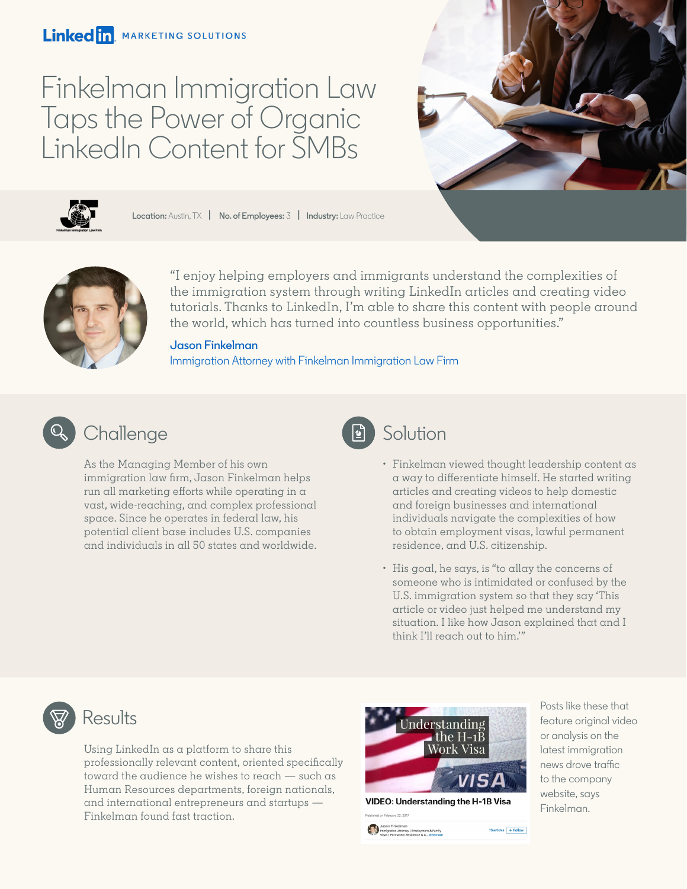### Linked in. MARKETING SOLUTIONS

# Finkelman Immigration Law Taps the Power of Organic LinkedIn Content for SMBs





**Location:** Austin, TX **| No. of Employees:** 3 **| Industry:** Law Practice



"I enjoy helping employers and immigrants understand the complexities of the immigration system through writing LinkedIn articles and creating video tutorials. Thanks to LinkedIn, I'm able to share this content with people around the world, which has turned into countless business opportunities."

### **Jason Finkelman**

[Immigration Attorney with Finkelman Immigration Law Firm](https://www.linkedin.com/in/jasonfinkelman/) 



### Challenge **Solution**

As the Managing Member of his own immigration law firm, Jason Finkelman helps run all marketing efforts while operating in a vast, wide-reaching, and complex professional space. Since he operates in federal law, his potential client base includes U.S. companies and individuals in all 50 states and worldwide.



- Finkelman viewed thought leadership content as a way to differentiate himself. He started writing articles and creating videos to help domestic and foreign businesses and international individuals navigate the complexities of how to obtain employment visas, lawful permanent residence, and U.S. citizenship.
- His goal, he says, is "to allay the concerns of someone who is intimidated or confused by the U.S. immigration system so that they say 'This article or video just helped me understand my situation. I like how Jason explained that and I think I'll reach out to him.'"

### Results

Using LinkedIn as a platform to share this professionally relevant content, oriented specifically toward the audience he wishes to reach — such as Human Resources departments, foreign nationals, and international entrepreneurs and startups — Finkelman found fast traction.



**VIDEO: Understanding the H-1B Visa** 75 articles  $+$  Follow

Posts like these that feature original video or analysis on the latest immigration news drove traffic to the company website, says Finkelman.